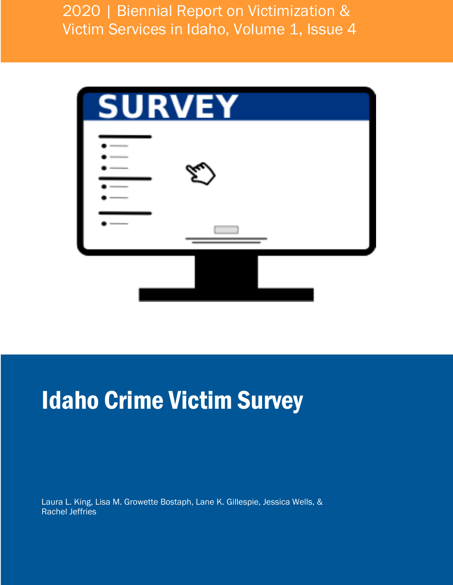2020 | Biennial Report on Victimization & Victim Services in Idaho, Volume 1, Issue 4



# Idaho Crime Victim Survey

Laura L. King, Lisa M. Growette Bostaph, Lane K. Gillespie, Jessica Wells, & Rachel Jeffries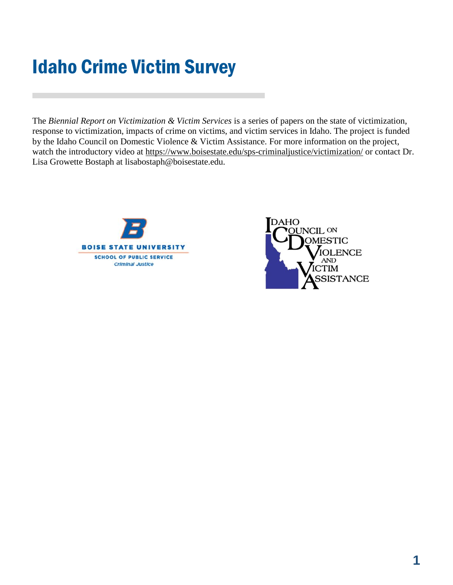# Idaho Crime Victim Survey

The *Biennial Report on Victimization & Victim Services* is a series of papers on the state of victimization, response to victimization, impacts of crime on victims, and victim services in Idaho. The project is funded by the Idaho Council on Domestic Violence & Victim Assistance. For more information on the project, watch the introductory video at<https://www.boisestate.edu/sps-criminaljustice/victimization/> or contact Dr. Lisa Growette Bostaph at lisabostaph@boisestate.edu.



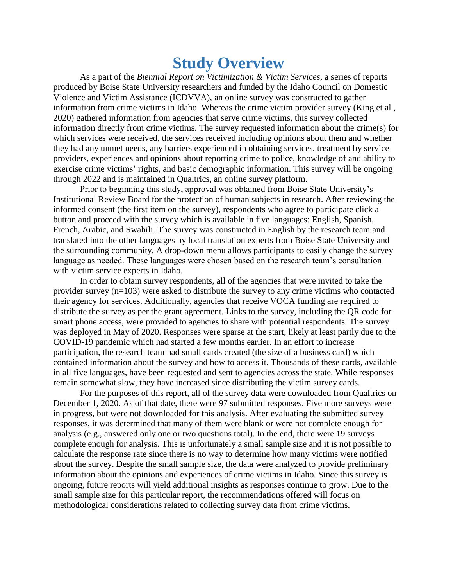# **Study Overview**

As a part of the *Biennial Report on Victimization & Victim Services*, a series of reports produced by Boise State University researchers and funded by the Idaho Council on Domestic Violence and Victim Assistance (ICDVVA), an online survey was constructed to gather information from crime victims in Idaho. Whereas the crime victim provider survey (King et al., 2020) gathered information from agencies that serve crime victims, this survey collected information directly from crime victims. The survey requested information about the crime(s) for which services were received, the services received including opinions about them and whether they had any unmet needs, any barriers experienced in obtaining services, treatment by service providers, experiences and opinions about reporting crime to police, knowledge of and ability to exercise crime victims' rights, and basic demographic information. This survey will be ongoing through 2022 and is maintained in Qualtrics, an online survey platform.

Prior to beginning this study, approval was obtained from Boise State University's Institutional Review Board for the protection of human subjects in research. After reviewing the informed consent (the first item on the survey), respondents who agree to participate click a button and proceed with the survey which is available in five languages: English, Spanish, French, Arabic, and Swahili. The survey was constructed in English by the research team and translated into the other languages by local translation experts from Boise State University and the surrounding community. A drop-down menu allows participants to easily change the survey language as needed. These languages were chosen based on the research team's consultation with victim service experts in Idaho.

In order to obtain survey respondents, all of the agencies that were invited to take the provider survey  $(n=103)$  were asked to distribute the survey to any crime victims who contacted their agency for services. Additionally, agencies that receive VOCA funding are required to distribute the survey as per the grant agreement. Links to the survey, including the QR code for smart phone access, were provided to agencies to share with potential respondents. The survey was deployed in May of 2020. Responses were sparse at the start, likely at least partly due to the COVID-19 pandemic which had started a few months earlier. In an effort to increase participation, the research team had small cards created (the size of a business card) which contained information about the survey and how to access it. Thousands of these cards, available in all five languages, have been requested and sent to agencies across the state. While responses remain somewhat slow, they have increased since distributing the victim survey cards.

For the purposes of this report, all of the survey data were downloaded from Qualtrics on December 1, 2020. As of that date, there were 97 submitted responses. Five more surveys were in progress, but were not downloaded for this analysis. After evaluating the submitted survey responses, it was determined that many of them were blank or were not complete enough for analysis (e.g., answered only one or two questions total). In the end, there were 19 surveys complete enough for analysis. This is unfortunately a small sample size and it is not possible to calculate the response rate since there is no way to determine how many victims were notified about the survey. Despite the small sample size, the data were analyzed to provide preliminary information about the opinions and experiences of crime victims in Idaho. Since this survey is ongoing, future reports will yield additional insights as responses continue to grow. Due to the small sample size for this particular report, the recommendations offered will focus on methodological considerations related to collecting survey data from crime victims.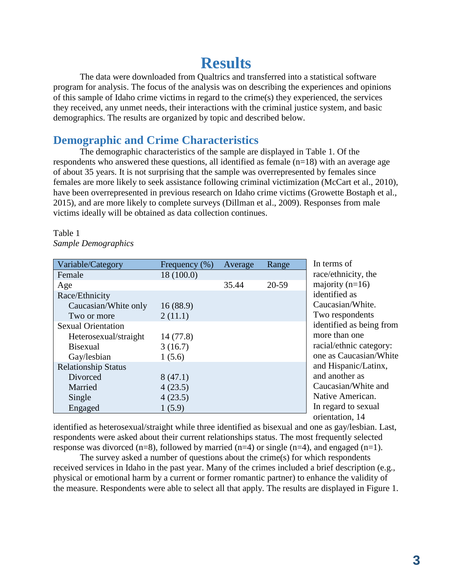# **Results**

The data were downloaded from Qualtrics and transferred into a statistical software program for analysis. The focus of the analysis was on describing the experiences and opinions of this sample of Idaho crime victims in regard to the crime(s) they experienced, the services they received, any unmet needs, their interactions with the criminal justice system, and basic demographics. The results are organized by topic and described below.

### **Demographic and Crime Characteristics**

The demographic characteristics of the sample are displayed in Table 1. Of the respondents who answered these questions, all identified as female  $(n=18)$  with an average age of about 35 years. It is not surprising that the sample was overrepresented by females since females are more likely to seek assistance following criminal victimization (McCart et al., 2010), have been overrepresented in previous research on Idaho crime victims (Growette Bostaph et al., 2015), and are more likely to complete surveys (Dillman et al., 2009). Responses from male victims ideally will be obtained as data collection continues.

#### Table 1 *Sample Demographics*

| Variable/Category          | Frequency $(\%)$ | Average | Range | In            |
|----------------------------|------------------|---------|-------|---------------|
| Female                     | 18 (100.0)       |         |       | ra            |
| Age                        |                  | 35.44   | 20-59 | m             |
| Race/Ethnicity             |                  |         |       | id            |
| Caucasian/White only       | 16(88.9)         |         |       | $\mathsf{C}$  |
| Two or more                | 2(11.1)          |         |       | $\mathbf T$   |
| <b>Sexual Orientation</b>  |                  |         |       | id            |
| Heterosexual/straight      | 14 (77.8)        |         |       | m             |
| <b>Bisexual</b>            | 3(16.7)          |         |       | ra            |
| Gay/lesbian                | 1(5.6)           |         |       | O1            |
| <b>Relationship Status</b> |                  |         |       | ar            |
| Divorced                   | 8(47.1)          |         |       | ar            |
| Married                    | 4(23.5)          |         |       | $\mathcal{C}$ |
| Single                     | 4(23.5)          |         |       | N             |
| Engaged                    | 1(5.9)           |         |       | In            |

terms of ce/ethnicity, the ajority  $(n=16)$ lentified as aucasian/White. wo respondents lentified as being from more than one cial/ethnic category: ne as Caucasian/White nd Hispanic/Latinx, and another as aucasian/White and ative American. regard to sexual orientation, 14

identified as heterosexual/straight while three identified as bisexual and one as gay/lesbian. Last, respondents were asked about their current relationships status. The most frequently selected response was divorced  $(n=8)$ , followed by married  $(n=4)$  or single  $(n=4)$ , and engaged  $(n=1)$ .

The survey asked a number of questions about the crime(s) for which respondents received services in Idaho in the past year. Many of the crimes included a brief description (e.g., physical or emotional harm by a current or former romantic partner) to enhance the validity of the measure. Respondents were able to select all that apply. The results are displayed in Figure 1.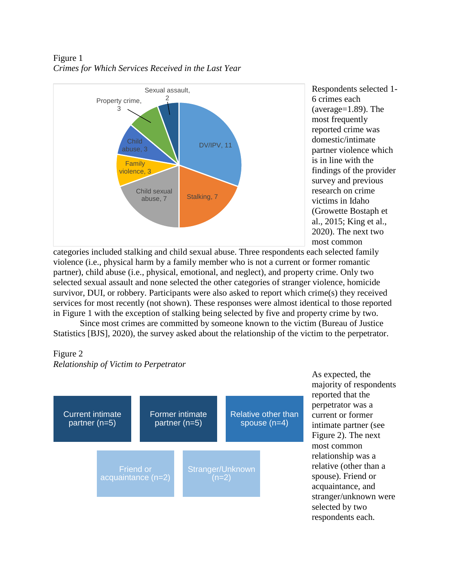Figure 1 *Crimes for Which Services Received in the Last Year* 



Respondents selected 1- 6 crimes each (average=1.89). The most frequently reported crime was domestic/intimate partner violence which is in line with the findings of the provider survey and previous research on crime victims in Idaho (Growette Bostaph et al., 2015; King et al., 2020). The next two most common

categories included stalking and child sexual abuse. Three respondents each selected family violence (i.e., physical harm by a family member who is not a current or former romantic partner), child abuse (i.e., physical, emotional, and neglect), and property crime. Only two selected sexual assault and none selected the other categories of stranger violence, homicide survivor, DUI, or robbery. Participants were also asked to report which crime(s) they received services for most recently (not shown). These responses were almost identical to those reported in Figure 1 with the exception of stalking being selected by five and property crime by two.

Since most crimes are committed by someone known to the victim (Bureau of Justice Statistics [BJS], 2020), the survey asked about the relationship of the victim to the perpetrator.

#### Figure 2

#### *Relationship of Victim to Perpetrator*



As expected, the majority of respondents reported that the perpetrator was a current or former intimate partner (see Figure 2). The next most common relationship was a relative (other than a spouse). Friend or acquaintance, and stranger/unknown were selected by two respondents each.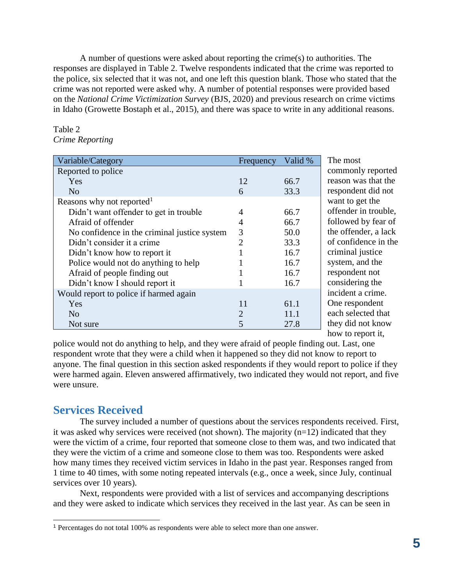A number of questions were asked about reporting the crime(s) to authorities. The responses are displayed in Table 2. Twelve respondents indicated that the crime was reported to the police, six selected that it was not, and one left this question blank. Those who stated that the crime was not reported were asked why. A number of potential responses were provided based on the *National Crime Victimization Survey* (BJS, 2020) and previous research on crime victims in Idaho (Growette Bostaph et al., 2015), and there was space to write in any additional reasons.

#### Table 2 *Crime Reporting*

| Variable/Category                            | Frequency | Valid % | The m   |
|----------------------------------------------|-----------|---------|---------|
| Reported to police                           |           |         | commo   |
| Yes                                          | 12        | 66.7    | reason  |
| N <sub>o</sub>                               | 6         | 33.3    | respon  |
| Reasons why not reported <sup>1</sup>        |           |         | want to |
| Didn't want offender to get in trouble       | 4         | 66.7    | offend  |
| Afraid of offender                           | 4         | 66.7    | follow  |
| No confidence in the criminal justice system | 3         | 50.0    | the off |
| Didn't consider it a crime                   | 2         | 33.3    | of con  |
| Didn't know how to report it                 |           | 16.7    | crimin  |
| Police would not do anything to help         |           | 16.7    | system  |
| Afraid of people finding out                 |           | 16.7    | respon  |
| Didn't know I should report it               |           | 16.7    | consid  |
| Would report to police if harmed again       |           |         | incider |
| Yes                                          | 11        | 61.1    | One re  |
| N <sub>o</sub>                               | 2         | 11.1    | each se |
| Not sure                                     | 5         | 27.8    | they di |

nst only reported was that the dent did not o get the er in trouble, ed by fear of ender, a lack fidence in the al justice  $\mu$ , and the dent not ering the nt a crime. spondent elected that d not know how to report it,

police would not do anything to help, and they were afraid of people finding out. Last, one respondent wrote that they were a child when it happened so they did not know to report to anyone. The final question in this section asked respondents if they would report to police if they were harmed again. Eleven answered affirmatively, two indicated they would not report, and five were unsure.

### **Services Received**

l

The survey included a number of questions about the services respondents received. First, it was asked why services were received (not shown). The majority  $(n=12)$  indicated that they were the victim of a crime, four reported that someone close to them was, and two indicated that they were the victim of a crime and someone close to them was too. Respondents were asked how many times they received victim services in Idaho in the past year. Responses ranged from 1 time to 40 times, with some noting repeated intervals (e.g., once a week, since July, continual services over 10 years).

Next, respondents were provided with a list of services and accompanying descriptions and they were asked to indicate which services they received in the last year. As can be seen in

<sup>1</sup> Percentages do not total 100% as respondents were able to select more than one answer.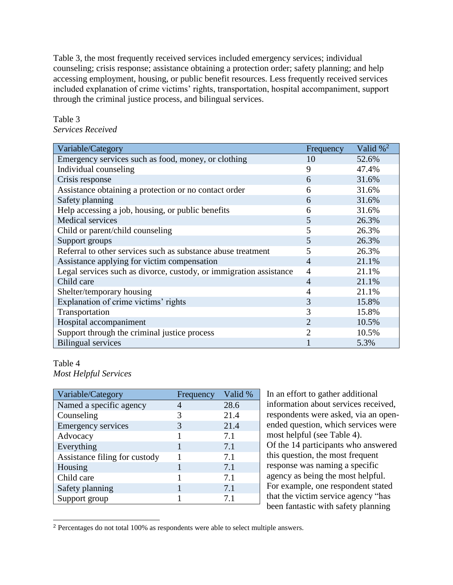Table 3, the most frequently received services included emergency services; individual counseling; crisis response; assistance obtaining a protection order; safety planning; and help accessing employment, housing, or public benefit resources. Less frequently received services included explanation of crime victims' rights, transportation, hospital accompaniment, support through the criminal justice process, and bilingual services.

#### Table 3 *Services Received*

| Variable/Category                                                  | Frequency      | Valid $\%^2$ |
|--------------------------------------------------------------------|----------------|--------------|
| Emergency services such as food, money, or clothing                | 10             | 52.6%        |
| Individual counseling                                              | 9              | 47.4%        |
| Crisis response                                                    | 6              | 31.6%        |
| Assistance obtaining a protection or no contact order              | 6              | 31.6%        |
| Safety planning                                                    | 6              | 31.6%        |
| Help accessing a job, housing, or public benefits                  | 6              | 31.6%        |
| <b>Medical services</b>                                            | 5              | 26.3%        |
| Child or parent/child counseling                                   | 5              | 26.3%        |
| Support groups                                                     | 5              | 26.3%        |
| Referral to other services such as substance abuse treatment       | 5              | 26.3%        |
| Assistance applying for victim compensation                        | $\overline{4}$ | 21.1%        |
| Legal services such as divorce, custody, or immigration assistance | $\overline{4}$ | 21.1%        |
| Child care                                                         | 4              | 21.1%        |
| Shelter/temporary housing                                          | 4              | 21.1%        |
| Explanation of crime victims' rights                               | 3              | 15.8%        |
| Transportation                                                     | 3              | 15.8%        |
| Hospital accompaniment                                             | 2              | 10.5%        |
| Support through the criminal justice process                       | 2              | 10.5%        |
| <b>Bilingual services</b>                                          |                | 5.3%         |

#### Table 4 *Most Helpful Services*

l

| Variable/Category             | Frequency | Valid % |
|-------------------------------|-----------|---------|
| Named a specific agency       |           | 28.6    |
| Counseling                    |           | 21.4    |
| <b>Emergency services</b>     | 3         | 21.4    |
| Advocacy                      |           | 7.1     |
| Everything                    |           | 7.1     |
| Assistance filing for custody |           | 7.1     |
| Housing                       |           | 7.1     |
| Child care                    |           | 7.1     |
| Safety planning               |           | 7.1     |
| Support group                 |           | 7.1     |

In an effort to gather additional information about services received, respondents were asked, via an openended question, which services were most helpful (see Table 4). Of the 14 participants who answered this question, the most frequent response was naming a specific agency as being the most helpful. For example, one respondent stated that the victim service agency "has been fantastic with safety planning

<sup>2</sup> Percentages do not total 100% as respondents were able to select multiple answers.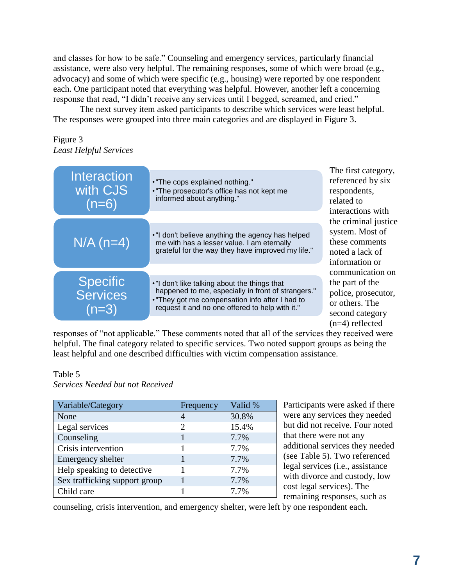and classes for how to be safe." Counseling and emergency services, particularly financial assistance, were also very helpful. The remaining responses, some of which were broad (e.g., advocacy) and some of which were specific (e.g., housing) were reported by one respondent each. One participant noted that everything was helpful. However, another left a concerning response that read, "I didn't receive any services until I begged, screamed, and cried."

The next survey item asked participants to describe which services were least helpful. The responses were grouped into three main categories and are displayed in Figure 3.

#### Figure 3 *Least Helpful Services*

| with CJS<br>$(n=6)$                         | • "The cops explained nothing."<br>. "The prosecutor's office has not kept me<br>informed about anything."                                                                                                | referenced by six<br>respondents,<br>related to<br>interactions with                                                 |
|---------------------------------------------|-----------------------------------------------------------------------------------------------------------------------------------------------------------------------------------------------------------|----------------------------------------------------------------------------------------------------------------------|
| $N/A$ (n=4)                                 | . "I don't believe anything the agency has helped<br>me with has a lesser value. I am eternally<br>grateful for the way they have improved my life."                                                      | the criminal justice<br>system. Most of<br>these comments<br>noted a lack of<br>information or                       |
| <b>Specific</b><br><b>Services</b><br>(n=3) | . "I don't like talking about the things that<br>happened to me, especially in front of strangers."<br>. "They got me compensation info after I had to<br>request it and no one offered to help with it." | communication on<br>the part of the<br>police, prosecutor,<br>or others. The<br>second category<br>$(n=4)$ reflected |

responses of "not applicable." These comments noted that all of the services they received were helpful. The final category related to specific services. Two noted support groups as being the least helpful and one described difficulties with victim compensation assistance.

#### Table 5

*Services Needed but not Received*

| Variable/Category             | Frequency     | Valid % |
|-------------------------------|---------------|---------|
| None                          |               | 30.8%   |
| Legal services                | $\mathcal{D}$ | 15.4%   |
| Counseling                    |               | 7.7%    |
| Crisis intervention           |               | 7.7%    |
| Emergency shelter             |               | 7.7%    |
| Help speaking to detective    |               | 7.7%    |
| Sex trafficking support group |               | 7.7%    |
| Child care                    |               | 7.7%    |

Participants were asked if there were any services they needed but did not receive. Four noted that there were not any additional services they needed (see Table 5). Two referenced legal services (i.e., assistance with divorce and custody, low cost legal services). The remaining responses, such as

counseling, crisis intervention, and emergency shelter, were left by one respondent each.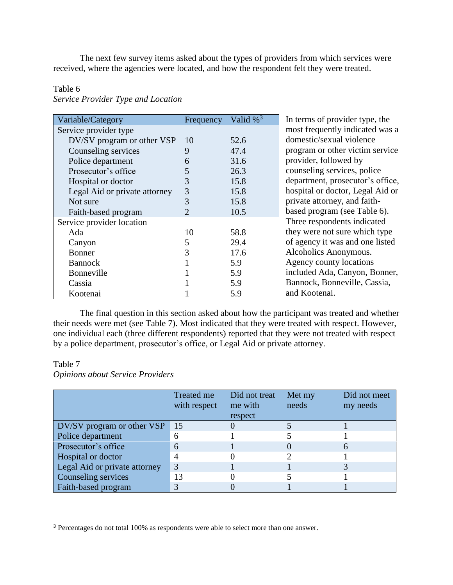The next few survey items asked about the types of providers from which services were received, where the agencies were located, and how the respondent felt they were treated.

#### Table 6

| Variable/Category             | Frequency | Valid $\%$ <sup>3</sup> | In terms of provider type, the   |
|-------------------------------|-----------|-------------------------|----------------------------------|
| Service provider type         |           |                         | most frequently indicated was a  |
| DV/SV program or other VSP    | 10        | 52.6                    | domestic/sexual violence         |
| Counseling services           | 9         | 47.4                    | program or other victim service  |
| Police department             | 6         | 31.6                    | provider, followed by            |
| Prosecutor's office           |           | 26.3                    | counseling services, police      |
| Hospital or doctor            | 3         | 15.8                    | department, prosecutor's office, |
| Legal Aid or private attorney | 3         | 15.8                    | hospital or doctor, Legal Aid or |
| Not sure                      | 3         | 15.8                    | private attorney, and faith-     |
| Faith-based program           | 2         | 10.5                    | based program (see Table 6).     |
| Service provider location     |           |                         | Three respondents indicated      |
| Ada                           | 10        | 58.8                    | they were not sure which type    |
| Canyon                        | 5         | 29.4                    | of agency it was and one listed  |
| Bonner                        | 3         | 17.6                    | Alcoholics Anonymous.            |
| <b>Bannock</b>                |           | 5.9                     | Agency county locations          |
| Bonneville                    |           | 5.9                     | included Ada, Canyon, Bonner,    |
| Cassia                        |           | 5.9                     | Bannock, Bonneville, Cassia,     |
| Kootenai                      |           | 5.9                     | and Kootenai.                    |

*Service Provider Type and Location*

The final question in this section asked about how the participant was treated and whether their needs were met (see Table 7). Most indicated that they were treated with respect. However, one individual each (three different respondents) reported that they were not treated with respect by a police department, prosecutor's office, or Legal Aid or private attorney.

#### Table 7

l

#### *Opinions about Service Providers*

|                               | Treated me<br>with respect | Did not treat<br>me with<br>respect | Met my<br>needs | Did not meet<br>my needs |
|-------------------------------|----------------------------|-------------------------------------|-----------------|--------------------------|
| DV/SV program or other VSP    | 15                         |                                     |                 |                          |
| Police department             | 6                          |                                     |                 |                          |
| Prosecutor's office           | 6                          |                                     |                 | h                        |
| Hospital or doctor            | 4                          |                                     |                 |                          |
| Legal Aid or private attorney | 3                          |                                     |                 |                          |
| Counseling services           | 13                         |                                     |                 |                          |
| Faith-based program           |                            |                                     |                 |                          |

<sup>3</sup> Percentages do not total 100% as respondents were able to select more than one answer.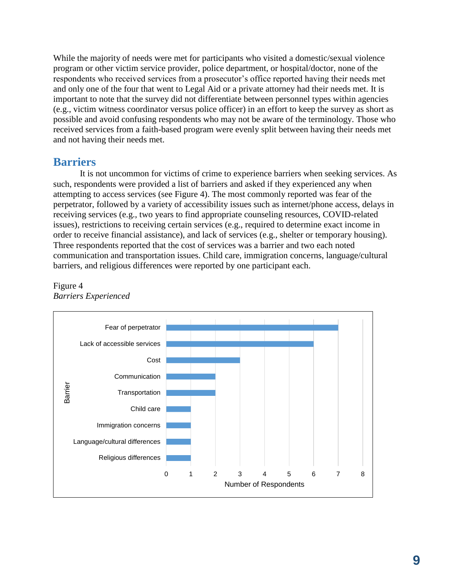While the majority of needs were met for participants who visited a domestic/sexual violence program or other victim service provider, police department, or hospital/doctor, none of the respondents who received services from a prosecutor's office reported having their needs met and only one of the four that went to Legal Aid or a private attorney had their needs met. It is important to note that the survey did not differentiate between personnel types within agencies (e.g., victim witness coordinator versus police officer) in an effort to keep the survey as short as possible and avoid confusing respondents who may not be aware of the terminology. Those who received services from a faith-based program were evenly split between having their needs met and not having their needs met.

### **Barriers**

It is not uncommon for victims of crime to experience barriers when seeking services. As such, respondents were provided a list of barriers and asked if they experienced any when attempting to access services (see Figure 4). The most commonly reported was fear of the perpetrator, followed by a variety of accessibility issues such as internet/phone access, delays in receiving services (e.g., two years to find appropriate counseling resources, COVID-related issues), restrictions to receiving certain services (e.g., required to determine exact income in order to receive financial assistance), and lack of services (e.g., shelter or temporary housing). Three respondents reported that the cost of services was a barrier and two each noted communication and transportation issues. Child care, immigration concerns, language/cultural barriers, and religious differences were reported by one participant each.

## 0 1 2 3 4 5 6 7 8 Religious differences Language/cultural differences Immigration concerns Child care **Transportation Communication** Cost Lack of accessible services Fear of perpetrator Number of Respondents Barrier

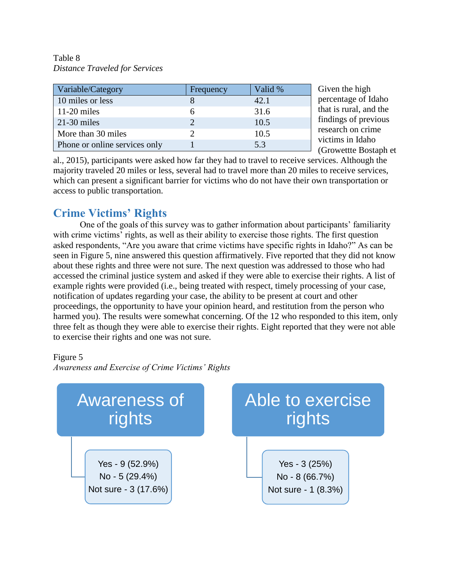Table 8 *Distance Traveled for Services*

| Variable/Category             | Frequency | Valid % | Gi               |
|-------------------------------|-----------|---------|------------------|
| 10 miles or less              |           | 42.1    | pe               |
| $11-20$ miles                 |           | 31.6    | th               |
| $21-30$ miles                 |           | 10.5    | fir              |
| More than 30 miles            |           | 10.5    | re:              |
| Phone or online services only |           | 5.3     | vi<br>$\sqrt{C}$ |

iven the high percentage of Idaho at is rural, and the dings of previous search on crime ctims in Idaho (Growettte Bostaph et

al., 2015), participants were asked how far they had to travel to receive services. Although the majority traveled 20 miles or less, several had to travel more than 20 miles to receive services, which can present a significant barrier for victims who do not have their own transportation or access to public transportation.

### **Crime Victims' Rights**

One of the goals of this survey was to gather information about participants' familiarity with crime victims' rights, as well as their ability to exercise those rights. The first question asked respondents, "Are you aware that crime victims have specific rights in Idaho?" As can be seen in Figure 5, nine answered this question affirmatively. Five reported that they did not know about these rights and three were not sure. The next question was addressed to those who had accessed the criminal justice system and asked if they were able to exercise their rights. A list of example rights were provided (i.e., being treated with respect, timely processing of your case, notification of updates regarding your case, the ability to be present at court and other proceedings, the opportunity to have your opinion heard, and restitution from the person who harmed you). The results were somewhat concerning. Of the 12 who responded to this item, only three felt as though they were able to exercise their rights. Eight reported that they were not able to exercise their rights and one was not sure.

Figure 5

*Awareness and Exercise of Crime Victims' Rights*

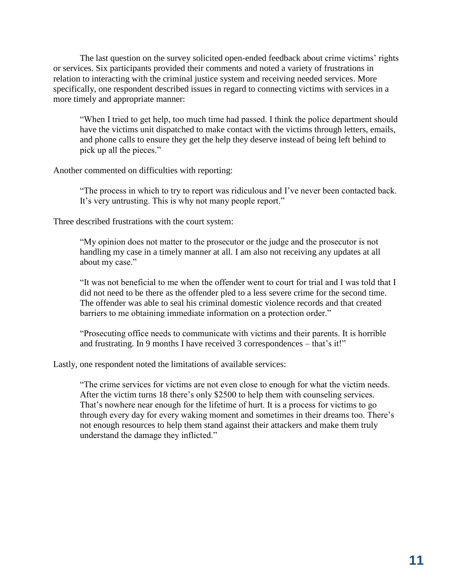The last question on the survey solicited open-ended feedback about crime victims' rights or services. Six participants provided their comments and noted a variety of frustrations in relation to interacting with the criminal justice system and receiving needed services. More specifically, one respondent described issues in regard to connecting victims with services in a more timely and appropriate manner:

"When I tried to get help, too much time had passed. I think the police department should have the victims unit dispatched to make contact with the victims through letters, emails, and phone calls to ensure they get the help they deserve instead of being left behind to pick up all the pieces."

Another commented on difficulties with reporting:

"The process in which to try to report was ridiculous and I've never been contacted back. It's very untrusting. This is why not many people report."

Three described frustrations with the court system:

"My opinion does not matter to the prosecutor or the judge and the prosecutor is not handling my case in a timely manner at all. I am also not receiving any updates at all about my case."

"It was not beneficial to me when the offender went to court for trial and I was told that I did not need to be there as the offender pled to a less severe crime for the second time. The offender was able to seal his criminal domestic violence records and that created barriers to me obtaining immediate information on a protection order."

"Prosecuting office needs to communicate with victims and their parents. It is horrible and frustrating. In 9 months I have received 3 correspondences – that's it!"

Lastly, one respondent noted the limitations of available services:

"The crime services for victims are not even close to enough for what the victim needs. After the victim turns 18 there's only \$2500 to help them with counseling services. That's nowhere near enough for the lifetime of hurt. It is a process for victims to go through every day for every waking moment and sometimes in their dreams too. There's not enough resources to help them stand against their attackers and make them truly understand the damage they inflicted."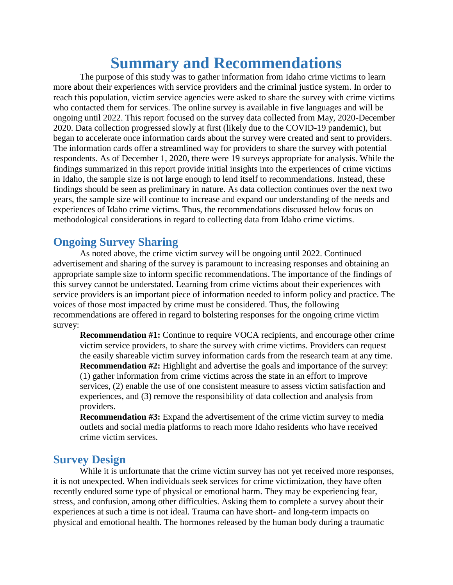# **Summary and Recommendations**

The purpose of this study was to gather information from Idaho crime victims to learn more about their experiences with service providers and the criminal justice system. In order to reach this population, victim service agencies were asked to share the survey with crime victims who contacted them for services. The online survey is available in five languages and will be ongoing until 2022. This report focused on the survey data collected from May, 2020-December 2020. Data collection progressed slowly at first (likely due to the COVID-19 pandemic), but began to accelerate once information cards about the survey were created and sent to providers. The information cards offer a streamlined way for providers to share the survey with potential respondents. As of December 1, 2020, there were 19 surveys appropriate for analysis. While the findings summarized in this report provide initial insights into the experiences of crime victims in Idaho, the sample size is not large enough to lend itself to recommendations. Instead, these findings should be seen as preliminary in nature. As data collection continues over the next two years, the sample size will continue to increase and expand our understanding of the needs and experiences of Idaho crime victims. Thus, the recommendations discussed below focus on methodological considerations in regard to collecting data from Idaho crime victims.

### **Ongoing Survey Sharing**

As noted above, the crime victim survey will be ongoing until 2022. Continued advertisement and sharing of the survey is paramount to increasing responses and obtaining an appropriate sample size to inform specific recommendations. The importance of the findings of this survey cannot be understated. Learning from crime victims about their experiences with service providers is an important piece of information needed to inform policy and practice. The voices of those most impacted by crime must be considered. Thus, the following recommendations are offered in regard to bolstering responses for the ongoing crime victim survey:

**Recommendation #1:** Continue to require VOCA recipients, and encourage other crime victim service providers, to share the survey with crime victims. Providers can request the easily shareable victim survey information cards from the research team at any time. **Recommendation #2:** Highlight and advertise the goals and importance of the survey: (1) gather information from crime victims across the state in an effort to improve services, (2) enable the use of one consistent measure to assess victim satisfaction and experiences, and (3) remove the responsibility of data collection and analysis from providers.

**Recommendation #3:** Expand the advertisement of the crime victim survey to media outlets and social media platforms to reach more Idaho residents who have received crime victim services.

### **Survey Design**

While it is unfortunate that the crime victim survey has not yet received more responses, it is not unexpected. When individuals seek services for crime victimization, they have often recently endured some type of physical or emotional harm. They may be experiencing fear, stress, and confusion, among other difficulties. Asking them to complete a survey about their experiences at such a time is not ideal. Trauma can have short- and long-term impacts on physical and emotional health. The hormones released by the human body during a traumatic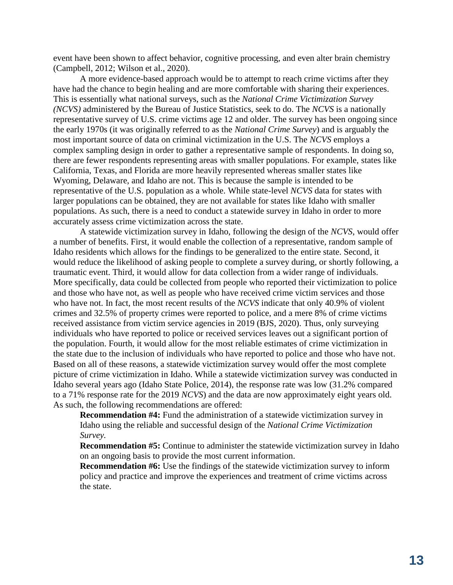event have been shown to affect behavior, cognitive processing, and even alter brain chemistry (Campbell, 2012; Wilson et al., 2020).

A more evidence-based approach would be to attempt to reach crime victims after they have had the chance to begin healing and are more comfortable with sharing their experiences. This is essentially what national surveys, such as the *National Crime Victimization Survey (NCVS)* administered by the Bureau of Justice Statistics, seek to do. The *NCVS* is a nationally representative survey of U.S. crime victims age 12 and older. The survey has been ongoing since the early 1970s (it was originally referred to as the *National Crime Survey*) and is arguably the most important source of data on criminal victimization in the U.S. The *NCVS* employs a complex sampling design in order to gather a representative sample of respondents. In doing so, there are fewer respondents representing areas with smaller populations. For example, states like California, Texas, and Florida are more heavily represented whereas smaller states like Wyoming, Delaware, and Idaho are not. This is because the sample is intended to be representative of the U.S. population as a whole. While state-level *NCVS* data for states with larger populations can be obtained, they are not available for states like Idaho with smaller populations. As such, there is a need to conduct a statewide survey in Idaho in order to more accurately assess crime victimization across the state.

A statewide victimization survey in Idaho, following the design of the *NCVS*, would offer a number of benefits. First, it would enable the collection of a representative, random sample of Idaho residents which allows for the findings to be generalized to the entire state. Second, it would reduce the likelihood of asking people to complete a survey during, or shortly following, a traumatic event. Third, it would allow for data collection from a wider range of individuals. More specifically, data could be collected from people who reported their victimization to police and those who have not, as well as people who have received crime victim services and those who have not. In fact, the most recent results of the *NCVS* indicate that only 40.9% of violent crimes and 32.5% of property crimes were reported to police, and a mere 8% of crime victims received assistance from victim service agencies in 2019 (BJS, 2020). Thus, only surveying individuals who have reported to police or received services leaves out a significant portion of the population. Fourth, it would allow for the most reliable estimates of crime victimization in the state due to the inclusion of individuals who have reported to police and those who have not. Based on all of these reasons, a statewide victimization survey would offer the most complete picture of crime victimization in Idaho. While a statewide victimization survey was conducted in Idaho several years ago (Idaho State Police, 2014), the response rate was low (31.2% compared to a 71% response rate for the 2019 *NCVS*) and the data are now approximately eight years old. As such, the following recommendations are offered:

**Recommendation #4:** Fund the administration of a statewide victimization survey in Idaho using the reliable and successful design of the *National Crime Victimization Survey.*

**Recommendation #5:** Continue to administer the statewide victimization survey in Idaho on an ongoing basis to provide the most current information.

**Recommendation #6:** Use the findings of the statewide victimization survey to inform policy and practice and improve the experiences and treatment of crime victims across the state.